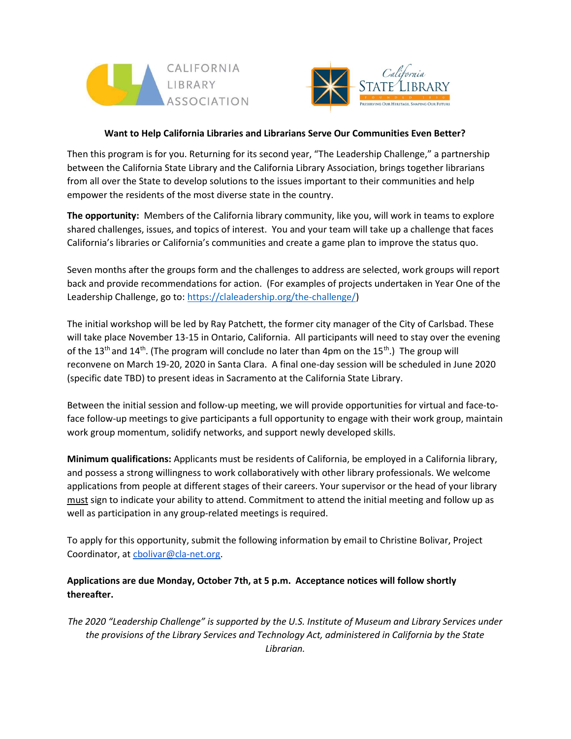



## Want to Help California Libraries and Librarians Serve Our Communities Even Better?

Then this program is for you. Returning for its second year, "The Leadership Challenge," a partnership between the California State Library and the California Library Association, brings together librarians from all over the State to develop solutions to the issues important to their communities and help empower the residents of the most diverse state in the country.

The opportunity: Members of the California library community, like you, will work in teams to explore shared challenges, issues, and topics of interest. You and your team will take up a challenge that faces California's libraries or California's communities and create a game plan to improve the status quo.

Seven months after the groups form and the challenges to address are selected, work groups will report back and provide recommendations for action. (For examples of projects undertaken in Year One of the Leadership Challenge, go to: https://claleadership.org/the-challenge/)

The initial workshop will be led by Ray Patchett, the former city manager of the City of Carlsbad. These will take place November 13-15 in Ontario, California. All participants will need to stay over the evening of the 13<sup>th</sup> and 14<sup>th</sup>. (The program will conclude no later than 4pm on the 15<sup>th</sup>.) The group will reconvene on March 19-20, 2020 in Santa Clara. A final one-day session will be scheduled in June 2020 (specific date TBD) to present ideas in Sacramento at the California State Library.

Between the initial session and follow-up meeting, we will provide opportunities for virtual and face-toface follow-up meetings to give participants a full opportunity to engage with their work group, maintain work group momentum, solidify networks, and support newly developed skills.

Minimum qualifications: Applicants must be residents of California, be employed in a California library, and possess a strong willingness to work collaboratively with other library professionals. We welcome applications from people at different stages of their careers. Your supervisor or the head of your library must sign to indicate your ability to attend. Commitment to attend the initial meeting and follow up as well as participation in any group-related meetings is required.

To apply for this opportunity, submit the following information by email to Christine Bolivar, Project Coordinator, at cbolivar@cla-net.org.

## Applications are due Monday, October 7th, at 5 p.m. Acceptance notices will follow shortly thereafter.

The 2020 "Leadership Challenge" is supported by the U.S. Institute of Museum and Library Services under the provisions of the Library Services and Technology Act, administered in California by the State Librarian.